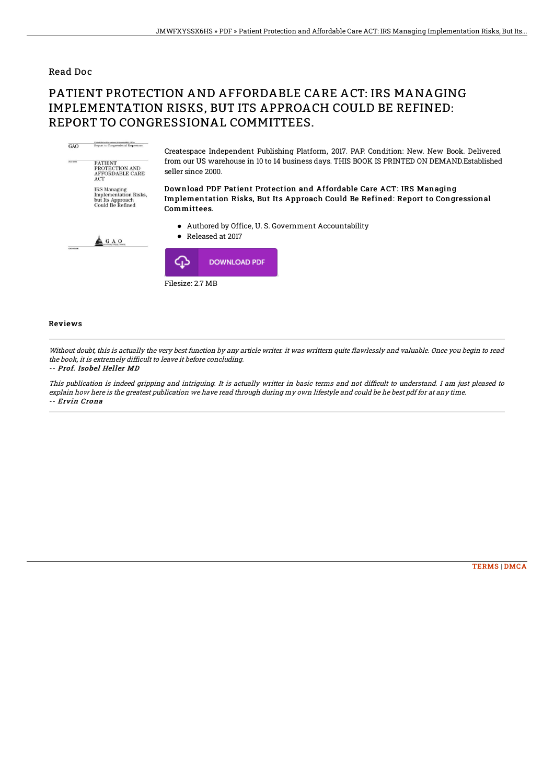### Read Doc

# PATIENT PROTECTION AND AFFORDABLE CARE ACT: IRS MANAGING IMPLEMENTATION RISKS, BUT ITS APPROACH COULD BE REFINED: REPORT TO CONGRESSIONAL COMMITTEES.



Filesize: 2.7 MB

#### Reviews

Without doubt, this is actually the very best function by any article writer. it was writtern quite flawlessly and valuable. Once you begin to read the book, it is extremely difficult to leave it before concluding.

#### -- Prof. Isobel Heller MD

This publication is indeed gripping and intriguing. It is actually writter in basic terms and not difficult to understand. I am just pleased to explain how here is the greatest publication we have read through during my own lifestyle and could be he best pdf for at any time. -- Ervin Crona